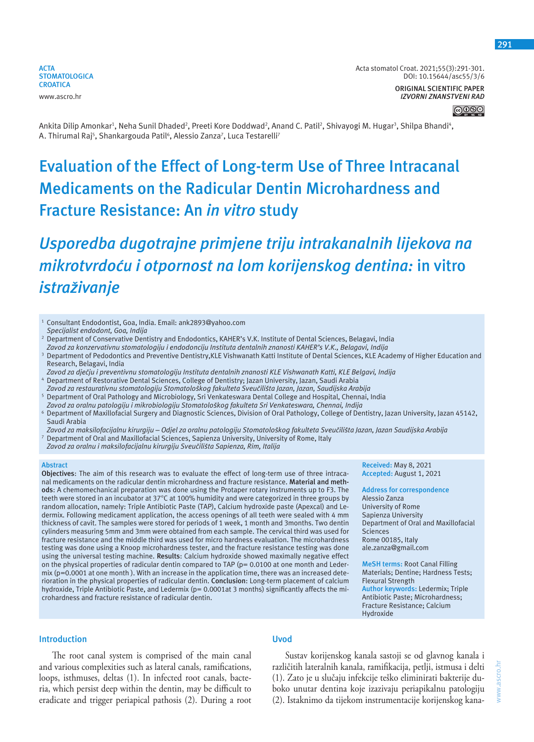

**ORIGINAL SCIENTIFIC PAPER** *IZVORNI ZNANSTVENI RAD*

Ankita Dilip Amonkar<sup>ı</sup>, Neha Sunil Dhaded<sup>2</sup>, Preeti Kore Doddwad<sup>2</sup>, Anand C. Patil<sup>2</sup>, Shivayogi M. Hugar<sup>3</sup>, Shilpa Bhandi<sup>4</sup>, A. Thirumal Raj<sup>5</sup>, Shankargouda Patil<sup>6</sup>, Alessio Zanza<sup>7</sup>, Luca Testarelli<sup>7</sup>

# **Evaluation of the Effect of Long-term Use of Three Intracanal Medicaments on the Radicular Dentin Microhardness and Fracture Resistance: An** *in vitro* **study**

# *Usporedba dugotrajne primjene triju intrakanalnih lijekova na mikrotvrdoću i otpornost na lom korijenskog dentina:* **in vitro** *istraživanje*

- <sup>1</sup> Consultant Endodontist, Goa, India. Email: ank2893@yahoo.com *Specijalist endodont, Goa, Indija*
- 2 Department of Conservative Dentistry and Endodontics, KAHER's V.K. Institute of Dental Sciences, Belagavi, India
- *Zavod za konzervativnu stomatologiju i endodonciju Instituta dentalnih znanosti KAHER's V.K., Belagavi, Indija*
- 3 Department of Pedodontics and Preventive Dentistry,KLE Vishwanath Katti Institute of Dental Sciences, KLE Academy of Higher Education and Research, Belagavi, India
- *Zavod za dječju i preventivnu stomatologiju Instituta dentalnih znanosti KLE Vishwanath Katti, KLE Belgavi, Indija* <sup>4</sup> Department of Restorative Dental Sciences, College of Dentistry; Jazan University, Jazan, Saudi Arabia
- *Zavod za restaurativnu stomatologiju Stomatološkog fakulteta Sveučilišta Jazan, Jazan, Saudijska Arabija* <sup>5</sup> Department of Oral Pathology and Microbiology, Sri Venkateswara Dental College and Hospital, Chennai, India
- *Zavod za oralnu patologiju i mikrobiologiju Stomatološkog fakulteta Sri Venkateswara, Chennai, Indija* <sup>6</sup> Department of Maxillofacial Surgery and Diagnostic Sciences, Division of Oral Pathology, College of Dentistry, Jazan University, Jazan 45142,
- Saudi Arabia *Zavod za maksilofacijalnu kirurgiju – Odjel za oralnu patologiju Stomatološkog fakulteta Sveučilišta Jazan, Jazan Saudijska Arabija*
- <sup>7</sup> Department of Oral and Maxillofacial Sciences, Sapienza University, University of Rome, Italy *Zavod za oralnu i maksilofacijalnu kirurgiju Sveučilišta Sapienza, Rim, Italija*

#### **Abstract**

**Objectives**: The aim of this research was to evaluate the effect of long-term use of three intracanal medicaments on the radicular dentin microhardness and fracture resistance. **Material and methods**: A chemomechanical preparation was done using the Protaper rotary instruments up to F3. The teeth were stored in an incubator at 37°C at 100% humidity and were categorized in three groups by random allocation, namely: Triple Antibiotic Paste (TAP), Calcium hydroxide paste (Apexcal) and Ledermix. Following medicament application, the access openings of all teeth were sealed with 4 mm thickness of cavit. The samples were stored for periods of 1 week, 1 month and 3months. Two dentin cylinders measuring 5mm and 3mm were obtained from each sample. The cervical third was used for fracture resistance and the middle third was used for micro hardness evaluation. The microhardness testing was done using a Knoop microhardness tester, and the fracture resistance testing was done using the universal testing machine. **Results**: Calcium hydroxide showed maximally negative effect on the physical properties of radicular dentin compared to TAP (p= 0.0100 at one month and Ledermix (p=0.0001 at one month ). With an increase in the application time, there was an increased deterioration in the physical properties of radicular dentin. **Conclusion**: Long-term placement of calcium hydroxide, Triple Antibiotic Paste, and Ledermix (p= 0.0001at 3 months) significantly affects the microhardness and fracture resistance of radicular dentin.

**Received:** May 8, 2021 **Accepted:** August 1, 2021

**Address for correspondence** Alessio Zanza University of Rome Sapienza University Department of Oral and Maxillofacial Sciences Rome 00185, Italy ale.zanza@gmail.com

**MeSH terms:** Root Canal Filling Materials; Dentine; Hardness Tests; Flexural Strength **Author keywords:** Ledermix; Triple Antibiotic Paste; Microhardness; Fracture Resistance; Calcium Hydroxide

# **Introduction**

The root canal system is comprised of the main canal and various complexities such as lateral canals, ramifications, loops, isthmuses, deltas (1). In infected root canals, bacteria, which persist deep within the dentin, may be difficult to eradicate and trigger periapical pathosis (2). During a root

# **Uvod**

Sustav korijenskog kanala sastoji se od glavnog kanala i različitih lateralnih kanala, ramifikacija, petlji, istmusa i delti (1). Zato je u slučaju infekcije teško eliminirati bakterije duboko unutar dentina koje izazivaju periapikalnu patologiju (2). Istaknimo da tijekom instrumentacije korijenskog kana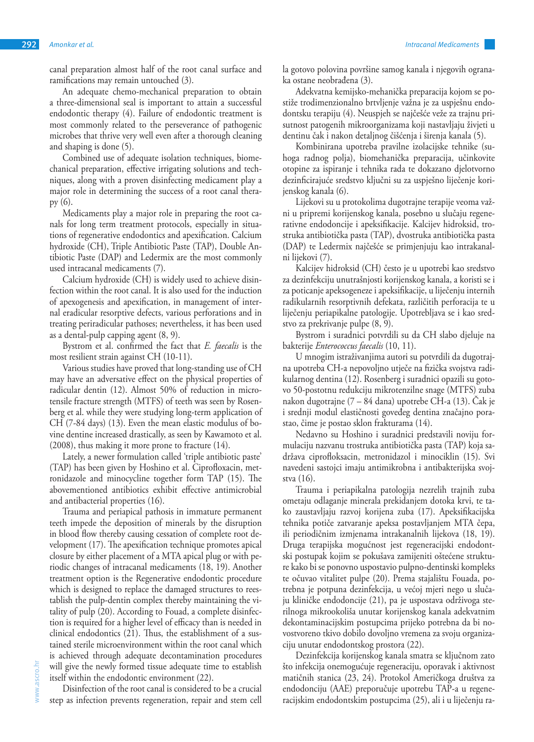canal preparation almost half of the root canal surface and ramifications may remain untouched (3).

An adequate chemo-mechanical preparation to obtain a three-dimensional seal is important to attain a successful endodontic therapy (4). Failure of endodontic treatment is most commonly related to the perseverance of pathogenic microbes that thrive very well even after a thorough cleaning and shaping is done (5).

Combined use of adequate isolation techniques, biomechanical preparation, effective irrigating solutions and techniques, along with a proven disinfecting medicament play a major role in determining the success of a root canal therapy (6).

Medicaments play a major role in preparing the root canals for long term treatment protocols, especially in situations of regenerative endodontics and apexification. Calcium hydroxide (CH), Triple Antibiotic Paste (TAP), Double Antibiotic Paste (DAP) and Ledermix are the most commonly used intracanal medicaments (7).

Calcium hydroxide (CH) is widely used to achieve disinfection within the root canal. It is also used for the induction of apexogenesis and apexification, in management of internal eradicular resorptive defects, various perforations and in treating periradicular pathoses; nevertheless, it has been used as a dental-pulp capping agent (8, 9).

Bystrom et al. confirmed the fact that *E. faecalis* is the most resilient strain against CH (10-11).

Various studies have proved that long-standing use of CH may have an adversative effect on the physical properties of radicular dentin (12). Almost 50% of reduction in microtensile fracture strength (MTFS) of teeth was seen by Rosenberg et al. while they were studying long-term application of CH (7-84 days) (13). Even the mean elastic modulus of bovine dentine increased drastically, as seen by Kawamoto et al. (2008), thus making it more prone to fracture (14).

Lately, a newer formulation called 'triple antibiotic paste' (TAP) has been given by Hoshino et al. Ciprofloxacin, metronidazole and minocycline together form TAP (15). The abovementioned antibiotics exhibit effective antimicrobial and antibacterial properties (16).

Trauma and periapical pathosis in immature permanent teeth impede the deposition of minerals by the disruption in blood flow thereby causing cessation of complete root development (17). The apexification technique promotes apical closure by either placement of a MTA apical plug or with periodic changes of intracanal medicaments (18, 19). Another treatment option is the Regenerative endodontic procedure which is designed to replace the damaged structures to reestablish the pulp-dentin complex thereby maintaining the vitality of pulp (20). According to Fouad, a complete disinfection is required for a higher level of efficacy than is needed in clinical endodontics (21). Thus, the establishment of a sustained sterile microenvironment within the root canal which is achieved through adequate decontamination procedures will give the newly formed tissue adequate time to establish itself within the endodontic environment (22).

Disinfection of the root canal is considered to be a crucial step as infection prevents regeneration, repair and stem cell la gotovo polovina površine samog kanala i njegovih ogranaka ostane neobrađena (3).

Adekvatna kemijsko-mehanička preparacija kojom se postiže trodimenzionalno brtvljenje važna je za uspješnu endodontsku terapiju (4). Neuspjeh se najčešće veže za trajnu prisutnost patogenih mikroorganizama koji nastavljaju živjeti u dentinu čak i nakon detaljnog čišćenja i širenja kanala (5).

Kombinirana upotreba pravilne izolacijske tehnike (suhoga radnog polja), biomehanička preparacija, učinkovite otopine za ispiranje i tehnika rada te dokazano djelotvorno dezinficirajuće sredstvo ključni su za uspješno liječenje korijenskog kanala (6).

Lijekovi su u protokolima dugotrajne terapije veoma važni u pripremi korijenskog kanala, posebno u slučaju regenerativne endodoncije i apeksifikacije. Kalcijev hidroksid, trostruka antibiotička pasta (TAP), dvostruka antibiotička pasta (DAP) te Ledermix najčešće se primjenjuju kao intrakanalni lijekovi (7).

Kalcijev hidroksid (CH) često je u upotrebi kao sredstvo za dezinfekciju unutrašnjosti korijenskog kanala, a koristi se i za poticanje apeksogeneze i apeksifikacije, u liječenju internih radikularnih resorptivnih defekata, različitih perforacija te u liječenju periapikalne patologije. Upotrebljava se i kao sredstvo za prekrivanje pulpe (8, 9).

Bystrom i suradnici potvrdili su da CH slabo djeluje na bakterije *Enterococcus faecalis* (10, 11).

U mnogim istraživanjima autori su potvrdili da dugotrajna upotreba CH-a nepovoljno utječe na fizička svojstva radikularnog dentina (12). Rosenberg i suradnici opazili su gotovo 50-postotnu redukciju mikrotenzilne snage (MTFS) zuba nakon dugotrajne (7 – 84 dana) upotrebe CH-a (13). Čak je i srednji modul elastičnosti goveđeg dentina značajno porastao, čime je postao sklon frakturama (14).

Nedavno su Hoshino i suradnici predstavili noviju formulaciju nazvanu trostruka antibiotička pasta (TAP) koja sadržava ciprofloksacin, metronidazol i minociklin (15). Svi navedeni sastojci imaju antimikrobna i antibakterijska svojstva (16).

Trauma i periapikalna patologija nezrelih trajnih zuba ometaju odlaganje minerala prekidanjem dotoka krvi, te tako zaustavljaju razvoj korijena zuba (17). Apeksifikacijska tehnika potiče zatvaranje apeksa postavljanjem MTA čepa, ili periodičnim izmjenama intrakanalnih lijekova (18, 19). Druga terapijska mogućnost jest regeneracijski endodontski postupak kojim se pokušava zamijeniti oštećene strukture kako bi se ponovno uspostavio pulpno-dentinski kompleks te očuvao vitalitet pulpe (20). Prema stajalištu Fouada, potrebna je potpuna dezinfekcija, u većoj mjeri nego u slučaju kliničke endodoncije (21), pa je uspostava održivoga sterilnoga mikrookoliša unutar korijenskog kanala adekvatnim dekontaminacijskim postupcima prijeko potrebna da bi novostvoreno tkivo dobilo dovoljno vremena za svoju organizaciju unutar endodontskog prostora (22).

Dezinfekcija korijenskog kanala smatra se ključnom zato što infekcija onemogućuje regeneraciju, oporavak i aktivnost matičnih stanica (23, 24). Protokol Američkoga društva za endodonciju (AAE) preporučuje upotrebu TAP-a u regeneracijskim endodontskim postupcima (25), ali i u liječenju ra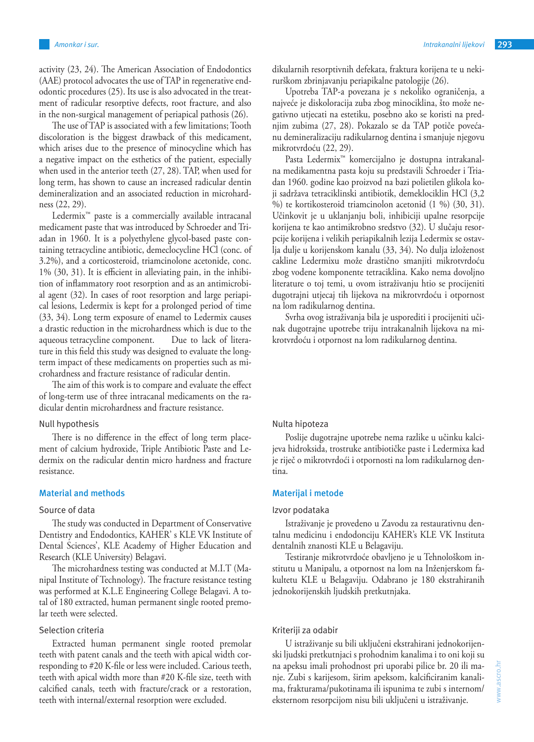activity (23, 24). The American Association of Endodontics (AAE) protocol advocates the use of TAP in regenerative endodontic procedures (25). Its use is also advocated in the treatment of radicular resorptive defects, root fracture, and also in the non-surgical management of periapical pathosis (26).

The use of TAP is associated with a few limitations; Tooth discoloration is the biggest drawback of this medicament, which arises due to the presence of minocycline which has a negative impact on the esthetics of the patient, especially when used in the anterior teeth (27, 28). TAP, when used for long term, has shown to cause an increased radicular dentin demineralization and an associated reduction in microhardness (22, 29).

Ledermix™ paste is a commercially available intracanal medicament paste that was introduced by Schroeder and Triadan in 1960. It is a polyethylene glycol-based paste containing tetracycline antibiotic, demeclocycline HCl (conc. of 3.2%), and a corticosteroid, triamcinolone acetonide, conc. 1% (30, 31). It is efficient in alleviating pain, in the inhibition of inflammatory root resorption and as an antimicrobial agent (32). In cases of root resorption and large periapical lesions, Ledermix is kept for a prolonged period of time (33, 34). Long term exposure of enamel to Ledermix causes a drastic reduction in the microhardness which is due to the aqueous tetracycline component. Due to lack of literature in this field this study was designed to evaluate the longterm impact of these medicaments on properties such as microhardness and fracture resistance of radicular dentin.

The aim of this work is to compare and evaluate the effect of long-term use of three intracanal medicaments on the radicular dentin microhardness and fracture resistance.

#### Null hypothesis

There is no difference in the effect of long term placement of calcium hydroxide, Triple Antibiotic Paste and Ledermix on the radicular dentin micro hardness and fracture resistance.

## **Material and methods**

## Source of data

The study was conducted in Department of Conservative Dentistry and Endodontics, KAHER' s KLE VK Institute of Dental Sciences', KLE Academy of Higher Education and Research (KLE University) Belagavi.

The microhardness testing was conducted at M.I.T (Manipal Institute of Technology). The fracture resistance testing was performed at K.L.E Engineering College Belagavi. A total of 180 extracted, human permanent single rooted premolar teeth were selected.

#### Selection criteria

Extracted human permanent single rooted premolar teeth with patent canals and the teeth with apical width corresponding to #20 K-file or less were included. Carious teeth, teeth with apical width more than #20 K-file size, teeth with calcified canals, teeth with fracture/crack or a restoration, teeth with internal/external resorption were excluded.

dikularnih resorptivnih defekata, fraktura korijena te u nekirurškom zbrinjavanju periapikalne patologije (26).

Upotreba TAP-a povezana je s nekoliko ograničenja, a najveće je diskoloracija zuba zbog minociklina, što može negativno utjecati na estetiku, posebno ako se koristi na prednjim zubima (27, 28). Pokazalo se da TAP potiče povećanu demineralizaciju radikularnog dentina i smanjuje njegovu mikrotvrdoću (22, 29).

Pasta Ledermix™ komercijalno je dostupna intrakanalna medikamentna pasta koju su predstavili Schroeder i Triadan 1960. godine kao proizvod na bazi polietilen glikola koji sadržava tetraciklinski antibiotik, demeklociklin HCl (3,2 %) te kortikosteroid triamcinolon acetonid (1 %) (30, 31). Učinkovit je u uklanjanju boli, inhibiciji upalne resorpcije korijena te kao antimikrobno sredstvo (32). U slučaju resorpcije korijena i velikih periapikalnih lezija Ledermix se ostavlja dulje u korijenskom kanalu (33, 34). No dulja izloženost cakline Ledermixu može drastično smanjiti mikrotvrdoću zbog vodene komponente tetraciklina. Kako nema dovoljno literature o toj temi, u ovom istraživanju htio se procijeniti dugotrajni utjecaj tih lijekova na mikrotvrdoću i otpornost na lom radikularnog dentina.

Svrha ovog istraživanja bila je usporediti i procijeniti učinak dugotrajne upotrebe triju intrakanalnih lijekova na mikrotvrdoću i otpornost na lom radikularnog dentina.

## Nulta hipoteza

Poslije dugotrajne upotrebe nema razlike u učinku kalcijeva hidroksida, trostruke antibiotičke paste i Ledermixa kad je riječ o mikrotvrdoći i otpornosti na lom radikularnog dentina.

#### **Materijal i metode**

#### Izvor podataka

Istraživanje je provedeno u Zavodu za restaurativnu dentalnu medicinu i endodonciju KAHER's KLE VK Instituta dentalnih znanosti KLE u Belagaviju.

Testiranje mikrotvrdoće obavljeno je u Tehnološkom institutu u Manipalu, a otpornost na lom na Inženjerskom fakultetu KLE u Belagaviju. Odabrano je 180 ekstrahiranih jednokorijenskih ljudskih pretkutnjaka.

#### Kriteriji za odabir

U istraživanje su bili uključeni ekstrahirani jednokorijenski ljudski pretkutnjaci s prohodnim kanalima i to oni koji su na apeksu imali prohodnost pri uporabi pilice br. 20 ili manje. Zubi s karijesom, širim apeksom, kalcificiranim kanalima, frakturama/pukotinama ili ispunima te zubi s internom/ eksternom resorpcijom nisu bili uključeni u istraživanje.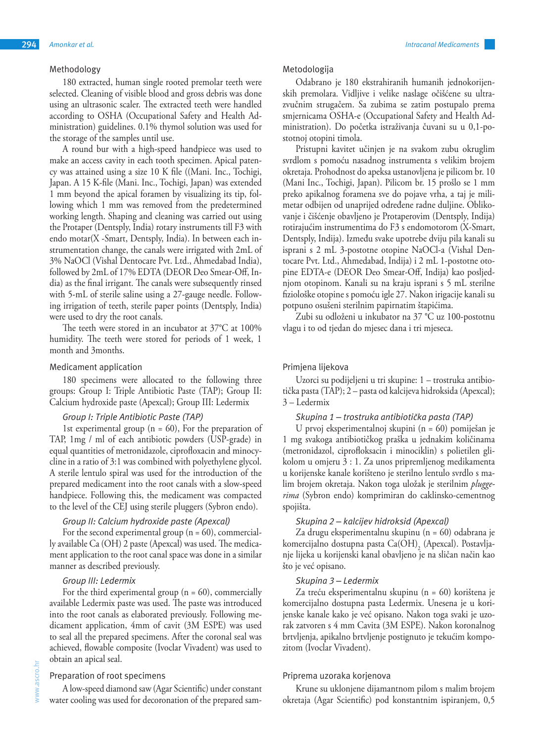## Methodology

180 extracted, human single rooted premolar teeth were selected. Cleaning of visible blood and gross debris was done using an ultrasonic scaler. The extracted teeth were handled according to OSHA (Occupational Safety and Health Administration) guidelines. 0.1% thymol solution was used for the storage of the samples until use.

A round bur with a high-speed handpiece was used to make an access cavity in each tooth specimen. Apical patency was attained using a size 10 K file ((Mani. Inc., Tochigi, Japan. A 15 K-file (Mani. Inc., Tochigi, Japan) was extended 1 mm beyond the apical foramen by visualizing its tip, following which 1 mm was removed from the predetermined working length. Shaping and cleaning was carried out using the Protaper (Dentsply, India) rotary instruments till F3 with endo motar(X -Smart, Dentsply, India). In between each instrumentation change, the canals were irrigated with 2mL of 3% NaOCl (Vishal Dentocare Pvt. Ltd., Ahmedabad India), followed by 2mL of 17% EDTA (DEOR Deo Smear-Off, India) as the final irrigant. The canals were subsequently rinsed with 5-mL of sterile saline using a 27-gauge needle. Following irrigation of teeth, sterile paper points (Dentsply, India) were used to dry the root canals.

The teeth were stored in an incubator at 37°C at 100% humidity. The teeth were stored for periods of 1 week, 1 month and 3months.

## Medicament application

180 specimens were allocated to the following three groups: Group I: Triple Antibiotic Paste (TAP); Group II: Calcium hydroxide paste (Apexcal); Group III: Ledermix

# *Group I: Triple Antibiotic Paste (TAP)*

1st experimental group ( $n = 60$ ), For the preparation of TAP, 1mg / ml of each antibiotic powders (USP-grade) in equal quantities of metronidazole, ciprofloxacin and minocycline in a ratio of 3:1 was combined with polyethylene glycol. A sterile lentulo spiral was used for the introduction of the prepared medicament into the root canals with a slow-speed handpiece. Following this, the medicament was compacted to the level of the CEJ using sterile pluggers (Sybron endo).

#### *Group II: Calcium hydroxide paste (Apexcal)*

For the second experimental group  $(n = 60)$ , commercially available Ca (OH) 2 paste (Apexcal) was used. The medicament application to the root canal space was done in a similar manner as described previously.

#### *Group III: Ledermix*

For the third experimental group  $(n = 60)$ , commercially available Ledermix paste was used. The paste was introduced into the root canals as elaborated previously. Following medicament application, 4mm of cavit (3M ESPE) was used to seal all the prepared specimens. After the coronal seal was achieved, flowable composite (Ivoclar Vivadent) was used to obtain an apical seal.

## Preparation of root specimens

A low-speed diamond saw (Agar Scientific) under constant water cooling was used for decoronation of the prepared sam-

## Metodologija

Odabrano je 180 ekstrahiranih humanih jednokorijenskih premolara. Vidljive i velike naslage očišćene su ultrazvučnim strugačem. Sa zubima se zatim postupalo prema smjernicama OSHA-e (Occupational Safety and Health Administration). Do početka istraživanja čuvani su u 0,1-postotnoj otopini timola.

Pristupni kavitet učinjen je na svakom zubu okruglim svrdlom s pomoću nasadnog instrumenta s velikim brojem okretaja. Prohodnost do apeksa ustanovljena je pilicom br. 10 (Mani Inc., Tochigi, Japan). Pilicom br. 15 prošlo se 1 mm preko apikalnog foramena sve do pojave vrha, a taj je milimetar odbijen od unaprijed određene radne duljine. Oblikovanje i čišćenje obavljeno je Protaperovim (Dentsply, Indija) rotirajućim instrumentima do F3 s endomotorom (X-Smart, Dentsply, Indija). Između svake upotrebe dviju pila kanali su isprani s 2 mL 3-postotne otopine NaOCl-a (Vishal Dentocare Pvt. Ltd., Ahmedabad, Indija) i 2 mL 1-postotne otopine EDTA-e (DEOR Deo Smear-Off, Indija) kao posljednjom otopinom. Kanali su na kraju isprani s 5 mL sterilne fiziološke otopine s pomoću igle 27. Nakon irigacije kanali su potpuno osušeni sterilnim papirnatim štapićima.

Zubi su odloženi u inkubator na 37 °C uz 100-postotnu vlagu i to od tjedan do mjesec dana i tri mjeseca.

## Primjena lijekova

Uzorci su podijeljeni u tri skupine: 1 – trostruka antibiotička pasta (TAP); 2 – pasta od kalcijeva hidroksida (Apexcal); 3 – Ledermix

## *Skupina 1 – trostruka antibiotička pasta (TAP)*

U prvoj eksperimentalnoj skupini (n = 60) pomiješan je 1 mg svakoga antibiotičkog praška u jednakim količinama (metronidazol, ciprofloksacin i minociklin) s polietilen glikolom u omjeru 3 : 1. Za unos pripremljenog medikamenta u korijenske kanale korišteno je sterilno lentulo svrdlo s malim brojem okretaja. Nakon toga uložak je sterilnim *pluggerima* (Sybron endo) komprimiran do caklinsko-cementnog spojišta.

#### *Skupina 2 – kalcijev hidroksid (Apexcal)*

Za drugu eksperimentalnu skupinu (n = 60) odabrana je komercijalno dostupna pasta  $Ca(OH)_{2}$  (Apexcal). Postavljanje lijeka u korijenski kanal obavljeno je na sličan način kao što je već opisano.

#### *Skupina 3 – Ledermix*

Za treću eksperimentalnu skupinu (n = 60) korištena je komercijalno dostupna pasta Ledermix. Unesena je u korijenske kanale kako je već opisano. Nakon toga svaki je uzorak zatvoren s 4 mm Cavita (3M ESPE). Nakon koronalnog brtvljenja, apikalno brtvljenje postignuto je tekućim kompozitom (Ivoclar Vivadent).

## Priprema uzoraka korjenova

Krune su uklonjene dijamantnom pilom s malim brojem okretaja (Agar Scientific) pod konstantnim ispiranjem, 0,5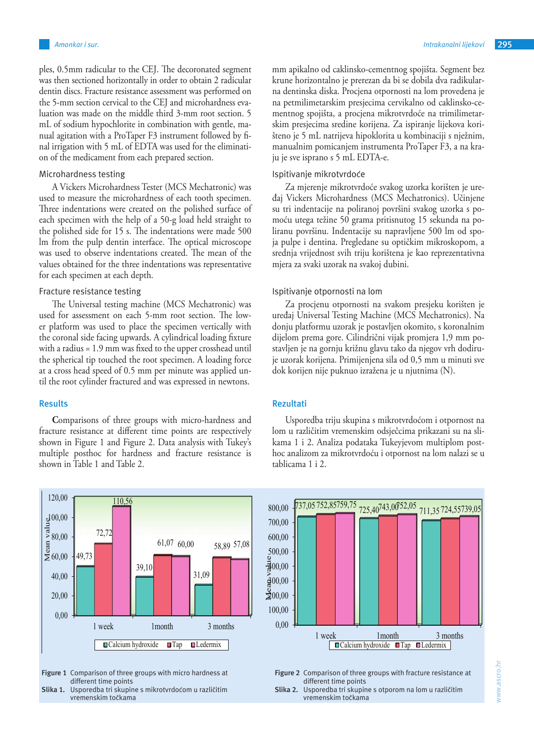ples, 0.5mm radicular to the CEJ. The decoronated segment was then sectioned horizontally in order to obtain 2 radicular dentin discs. Fracture resistance assessment was performed on the 5-mm section cervical to the CEJ and microhardness evaluation was made on the middle third 3-mm root section. 5 mL of sodium hypochlorite in combination with gentle, manual agitation with a ProTaper F3 instrument followed by final irrigation with 5 mL of EDTA was used for the elimination of the medicament from each prepared section.

## Microhardness testing

A Vickers Microhardness Tester (MCS Mechatronic) was used to measure the microhardness of each tooth specimen. Three indentations were created on the polished surface of each specimen with the help of a 50-g load held straight to the polished side for 15 s. The indentations were made 500 lm from the pulp dentin interface. The optical microscope was used to observe indentations created. The mean of the values obtained for the three indentations was representative for each specimen at each depth.

## Fracture resistance testing

The Universal testing machine (MCS Mechatronic) was used for assessment on each 5-mm root section. The lower platform was used to place the specimen vertically with the coronal side facing upwards. A cylindrical loading fixture with a radius = 1.9 mm was fixed to the upper crosshead until the spherical tip touched the root specimen. A loading force at a cross head speed of 0.5 mm per minute was applied until the root cylinder fractured and was expressed in newtons.

## **Results**

**C**omparisons of three groups with micro-hardness and fracture resistance at different time points are respectively shown in Figure 1 and Figure 2. Data analysis with Tukey's multiple posthoc for hardness and fracture resistance is shown in Table 1 and Table 2.



**Figure 1** Comparison of three groups with micro hardness at different time points



mm apikalno od caklinsko-cementnog spojišta. Segment bez krune horizontalno je prerezan da bi se dobila dva radikularna dentinska diska. Procjena otpornosti na lom provedena je na petmilimetarskim presjecima cervikalno od caklinsko-cementnog spojišta, a procjena mikrotvrdoće na trimilimetarskim presjecima sredine korijena. Za ispiranje lijekova korišteno je 5 mL natrijeva hipoklorita u kombinaciji s nježnim, manualnim pomicanjem instrumenta ProTaper F3, a na kraju je sve isprano s 5 mL EDTA-e.

## Ispitivanje mikrotvrdoće

Za mjerenje mikrotvrdoće svakog uzorka korišten je uređaj Vickers Microhardness (MCS Mechatronics). Učinjene su tri indentacije na poliranoj površini svakog uzorka s pomoću utega težine 50 grama pritisnutog 15 sekunda na poliranu površinu. Indentacije su napravljene 500 lm od spoja pulpe i dentina. Pregledane su optičkim mikroskopom, a srednja vrijednost svih triju korištena je kao reprezentativna mjera za svaki uzorak na svakoj dubini. 39,10

# Ispitivanje otpornosti na lom

Za procjenu otpornosti na svakom presjeku korišten je uređaj Universal Testing Machine (MCS Mechatronics). Na donju platformu uzorak je postavljen okomito, s koronalnim dijelom prema gore. Cilindrični vijak promjera 1,9 mm postavljen je na gornju križnu glavu tako da njegov vrh dodiruje uzorak korijena. Primijenjena sila od 0,5 mm u minuti sve dok korijen nije puknuo izražena je u njutnima (N).

## **Rezultati**

Usporedba triju skupina s mikrotvrdoćom i otpornost na lom u različitim vremenskim odsječcima prikazani su na sli-**Figure 2** kama 1 i 2. Analiza podataka Tukeyjevom multiplom posthoc analizom za mikrotvrdoću i otpornost na lom nalazi se u tablicama 1 i 2.



**Figure 2** Comparison of three groups with fracture resistance at different time points

**Slika 2.** Usporedba tri skupine s otporom na lom u različitim vremenskim točkama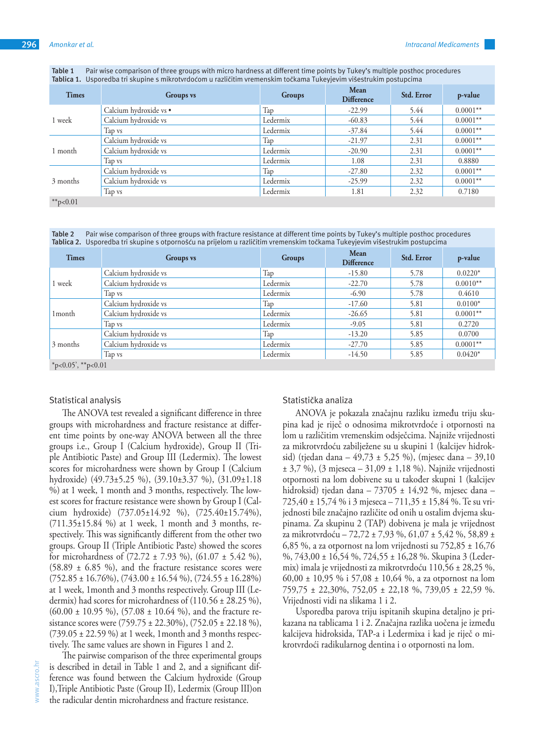| Table 1 Pair wise comparison of three groups with micro hardness at different time points by Tukey's multiple posthoc procedures |
|----------------------------------------------------------------------------------------------------------------------------------|
| Tablica 1. Usporedba tri skupine s mikrotvrdoćom u različitim vremenskim točkama Tukevjevim višestrukim postupcima               |

| <b>Times</b> | <b>Groups</b> vs       | Groups   | Mean<br><b>Difference</b> | <b>Std. Error</b> | p-value    |
|--------------|------------------------|----------|---------------------------|-------------------|------------|
|              | Calcium hydroxide vs • | Tap      | $-22.99$                  | 5.44              | $0.0001**$ |
| 1 week       | Calcium hydroxide vs   | Ledermix | $-60.83$                  | 5.44              | $0.0001**$ |
|              | Tap vs                 | Ledermix | $-37.84$                  | 5.44              | $0.0001**$ |
|              | Calcium hydroxide vs   | Tap      | $-21.97$                  | 2.31              | $0.0001**$ |
| 1 month      | Calcium hydroxide vs   | Ledermix | $-20.90$                  | 2.31              | $0.0001**$ |
|              | Tap vs                 | Ledermix | 1.08                      | 2.31              | 0.8880     |
|              | Calcium hydroxide vs   | Tap      | $-27.80$                  | 2.32              | $0.0001**$ |
| 3 months     | Calcium hydroxide vs   | Ledermix | $-25.99$                  | 2.32              | $0.0001**$ |
|              | Tap vs                 | Ledermix | 1.81                      | 2.32              | 0.7180     |
| **p<0.01     |                        |          |                           |                   |            |

**Table 2** Pair wise comparison of three groups with fracture resistance at different time points by Tukey's multiple posthoc procedures **Tablica 2.** Usporedba tri skupine s otpornošću na prijelom u različitim vremenskim točkama Tukeyjevim višestrukim postupcima

| <b>Times</b>              | <b>Groups</b> vs     | Groups   | Mean<br><b>Difference</b> | Std. Error | p-value    |  |  |
|---------------------------|----------------------|----------|---------------------------|------------|------------|--|--|
|                           | Calcium hydroxide vs | Tap      | $-15.80$                  | 5.78       | $0.0220*$  |  |  |
| l week                    | Calcium hydroxide vs | Ledermix | $-22.70$                  | 5.78       | $0.0010**$ |  |  |
|                           | Tap vs               | Ledermix | $-6.90$                   | 5.78       | 0.4610     |  |  |
|                           | Calcium hydroxide vs | Tap      | $-17.60$                  | 5.81       | $0.0100*$  |  |  |
| 1 <sub>month</sub>        | Calcium hydroxide vs | Ledermix | $-26.65$                  | 5.81       | $0.0001**$ |  |  |
|                           | Tap vs               | Ledermix | $-9.05$                   | 5.81       | 0.2720     |  |  |
|                           | Calcium hydroxide vs | Tap      | $-13.20$                  | 5.85       | 0.0700     |  |  |
| 3 months                  | Calcium hydroxide vs | Ledermix | $-27.70$                  | 5.85       | $0.0001**$ |  |  |
|                           | Tap vs               | Ledermix | $-14.50$                  | 5.85       | $0.0420*$  |  |  |
| * $p<0.05$ ', ** $p<0.01$ |                      |          |                           |            |            |  |  |

## Statistical analysis

www.ascro.hr

ascro.

The ANOVA test revealed a significant difference in three groups with microhardness and fracture resistance at different time points by one-way ANOVA between all the three groups i.e., Group I (Calcium hydroxide), Group II (Triple Antibiotic Paste) and Group III (Ledermix). The lowest scores for microhardness were shown by Group I (Calcium hydroxide) (49.73±5.25 %), (39.10±3.37 %), (31.09±1.18 %) at 1 week, 1 month and 3 months, respectively. The lowest scores for fracture resistance were shown by Group I (Calcium hydroxide) (737.05±14.92 %), (725.40±15.74%), (711.35±15.84 %) at 1 week, 1 month and 3 months, respectively. This was significantly different from the other two groups. Group II (Triple Antibiotic Paste) showed the scores for microhardness of  $(72.72 \pm 7.93 \%)$ ,  $(61.07 \pm 5.42 \%)$ ,  $(58.89 \pm 6.85 \%)$ , and the fracture resistance scores were  $(752.85 \pm 16.76\%), (743.00 \pm 16.54\%), (724.55 \pm 16.28\%)$ at 1 week, 1month and 3 months respectively. Group III (Ledermix) had scores for microhardness of (110.56 ± 28.25 %),  $(60.00 \pm 10.95 \%)$ ,  $(57.08 \pm 10.64 \%)$ , and the fracture resistance scores were (759.75 ± 22.30%), (752.05 ± 22.18 %),  $(739.05 \pm 22.59 \%)$  at 1 week, 1 month and 3 months respectively. The same values are shown in Figures 1 and 2.

The pairwise comparison of the three experimental groups is described in detail in Table 1 and 2, and a significant difference was found between the Calcium hydroxide (Group I),Triple Antibiotic Paste (Group II), Ledermix (Group III)on the radicular dentin microhardness and fracture resistance.

## Statistička analiza

ANOVA je pokazala značajnu razliku između triju skupina kad je riječ o odnosima mikrotvrdoće i otpornosti na lom u različitim vremenskim odsječcima. Najniže vrijednosti za mikrotvrdoću zabilježene su u skupini 1 (kalcijev hidroksid) (tjedan dana – 49,73 ± 5,25 %), (mjesec dana – 39,10 ± 3,7 %), (3 mjeseca – 31,09 ± 1,18 %). Najniže vrijednosti otpornosti na lom dobivene su u također skupni 1 (kalcijev hidroksid) tjedan dana – 73705 ± 14,92 %, mjesec dana – 725,40 ± 15,74 % i 3 mjeseca – 711,35 ± 15,84 %. Te su vrijednosti bile značajno različite od onih u ostalim dvjema skupinama. Za skupinu 2 (TAP) dobivena je mala je vrijednost za mikrotvrdoću – 72,72 ± 7,93 %, 61,07 ± 5,42 %, 58,89 ± 6,85 %, a za otpornost na lom vrijednosti su 752,85 ± 16,76 %, 743,00 ± 16,54 %, 724,55 ± 16,28 %. Skupina 3 (Ledermix) imala je vrijednosti za mikrotvrdoću 110,56 ± 28,25 %, 60,00 ± 10,95 % i 57,08 ± 10,64 %, a za otpornost na lom 759,75 ± 22,30%, 752,05 ± 22,18 %, 739,05 ± 22,59 %. Vrijednosti vidi na slikama 1 i 2.

Usporedba parova triju ispitanih skupina detaljno je prikazana na tablicama 1 i 2. Značajna razlika uočena je između kalcijeva hidroksida, TAP-a i Ledermixa i kad je riječ o mikrotvrdoći radikularnog dentina i o otpornosti na lom.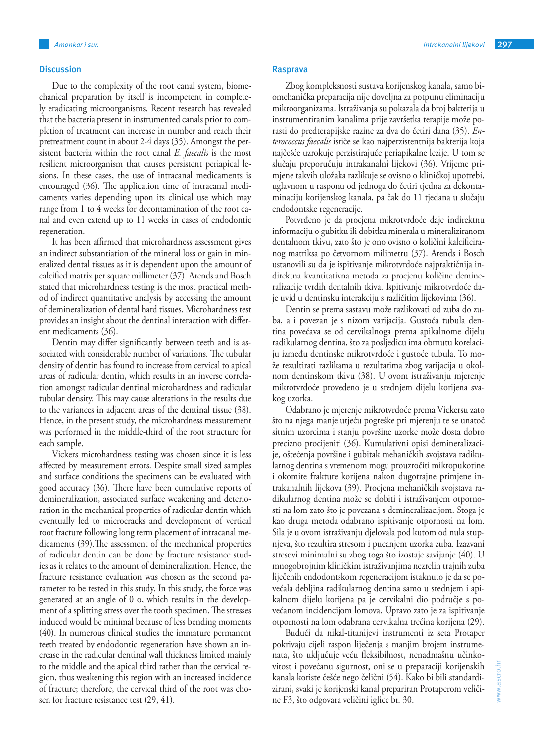## **Discussion**

Due to the complexity of the root canal system, biomechanical preparation by itself is incompetent in completely eradicating microorganisms. Recent research has revealed that the bacteria present in instrumented canals prior to completion of treatment can increase in number and reach their pretreatment count in about 2-4 days (35). Amongst the persistent bacteria within the root canal *E. faecalis* is the most resilient microorganism that causes persistent periapical lesions. In these cases, the use of intracanal medicaments is encouraged (36). The application time of intracanal medicaments varies depending upon its clinical use which may range from 1 to 4 weeks for decontamination of the root canal and even extend up to 11 weeks in cases of endodontic regeneration.

It has been affirmed that microhardness assessment gives an indirect substantiation of the mineral loss or gain in mineralized dental tissues as it is dependent upon the amount of calcified matrix per square millimeter (37). Arends and Bosch stated that microhardness testing is the most practical method of indirect quantitative analysis by accessing the amount of demineralization of dental hard tissues. Microhardness test provides an insight about the dentinal interaction with different medicaments (36).

Dentin may differ significantly between teeth and is associated with considerable number of variations. The tubular density of dentin has found to increase from cervical to apical areas of radicular dentin, which results in an inverse correlation amongst radicular dentinal microhardness and radicular tubular density. This may cause alterations in the results due to the variances in adjacent areas of the dentinal tissue (38). Hence, in the present study, the microhardness measurement was performed in the middle-third of the root structure for each sample.

Vickers microhardness testing was chosen since it is less affected by measurement errors. Despite small sized samples and surface conditions the specimens can be evaluated with good accuracy (36). There have been cumulative reports of demineralization, associated surface weakening and deterioration in the mechanical properties of radicular dentin which eventually led to microcracks and development of vertical root fracture following long term placement of intracanal medicaments (39).The assessment of the mechanical properties of radicular dentin can be done by fracture resistance studies as it relates to the amount of demineralization. Hence, the fracture resistance evaluation was chosen as the second parameter to be tested in this study. In this study, the force was generated at an angle of 0 o, which results in the development of a splitting stress over the tooth specimen. The stresses induced would be minimal because of less bending moments (40). In numerous clinical studies the immature permanent teeth treated by endodontic regeneration have shown an increase in the radicular dentinal wall thickness limited mainly to the middle and the apical third rather than the cervical region, thus weakening this region with an increased incidence of fracture; therefore, the cervical third of the root was chosen for fracture resistance test (29, 41).

#### **Rasprava**

Zbog kompleksnosti sustava korijenskog kanala, samo biomehanička preparacija nije dovoljna za potpunu eliminaciju mikroorganizama. Istraživanja su pokazala da broj bakterija u instrumentiranim kanalima prije završetka terapije može porasti do predterapijske razine za dva do četiri dana (35). *Enterococcus faecalis* ističe se kao najperzistentnija bakterija koja najčešće uzrokuje perzistirajuće periapikalne lezije. U tom se slučaju preporučuju intrakanalni lijekovi (36). Vrijeme primjene takvih uložaka razlikuje se ovisno o kliničkoj upotrebi, uglavnom u rasponu od jednoga do četiri tjedna za dekontaminaciju korijenskog kanala, pa čak do 11 tjedana u slučaju endodontske regeneracije.

Potvrđeno je da procjena mikrotvrdoće daje indirektnu informaciju o gubitku ili dobitku minerala u mineraliziranom dentalnom tkivu, zato što je ono ovisno o količini kalcificiranog matriksa po četvornom milimetru (37). Arends i Bosch ustanovili su da je ispitivanje mikrotvrdoće najpraktičnija indirektna kvantitativna metoda za procjenu količine demineralizacije tvrdih dentalnih tkiva. Ispitivanje mikrotvrdoće daje uvid u dentinsku interakciju s različitim lijekovima (36).

Dentin se prema sastavu može razlikovati od zuba do zuba, a i povezan je s nizom varijacija. Gustoća tubula dentina povećava se od cervikalnoga prema apikalnome dijelu radikularnog dentina, što za posljedicu ima obrnutu korelaciju između dentinske mikrotvrdoće i gustoće tubula. To može rezultirati razlikama u rezultatima zbog varijacija u okolnom dentinskom tkivu (38). U ovom istraživanju mjerenje mikrotvrdoće provedeno je u srednjem dijelu korijena svakog uzorka.

Odabrano je mjerenje mikrotvrdoće prema Vickersu zato što na njega manje utječu pogreške pri mjerenju te se unatoč sitnim uzorcima i stanju površine uzorke može dosta dobro precizno procijeniti (36). Kumulativni opisi demineralizacije, oštećenja površine i gubitak mehaničkih svojstava radikularnog dentina s vremenom mogu prouzročiti mikropukotine i okomite frakture korijena nakon dugotrajne primjene intrakanalnih lijekova (39). Procjena mehaničkih svojstava radikularnog dentina može se dobiti i istraživanjem otpornosti na lom zato što je povezana s demineralizacijom. Stoga je kao druga metoda odabrano ispitivanje otpornosti na lom. Sila je u ovom istraživanju djelovala pod kutom od nula stupnjeva, što rezultira stresom i pucanjem uzorka zuba. Izazvani stresovi minimalni su zbog toga što izostaje savijanje (40). U mnogobrojnim kliničkim istraživanjima nezrelih trajnih zuba liječenih endodontskom regeneracijom istaknuto je da se povećala debljina radikularnog dentina samo u srednjem i apikalnom dijelu korijena pa je cervikalni dio područje s povećanom incidencijom lomova. Upravo zato je za ispitivanje otpornosti na lom odabrana cervikalna trećina korijena (29).

Budući da nikal-titanijevi instrumenti iz seta Protaper pokrivaju cijeli raspon liječenja s manjim brojem instrumenata, što uključuje veću fleksibilnost, nenadmašnu učinkovitost i povećanu sigurnost, oni se u preparaciji korijenskih kanala koriste češće nego čelični (54). Kako bi bili standardizirani, svaki je korijenski kanal prepariran Protaperom veličine F3, što odgovara veličini iglice br. 30.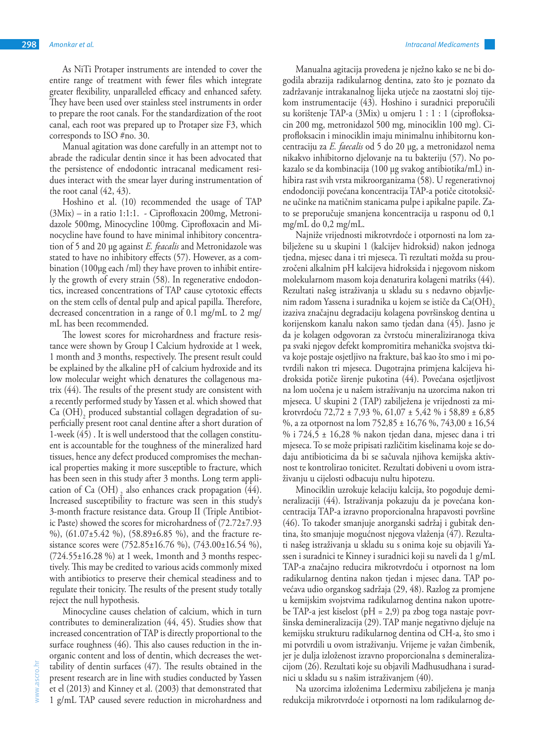As NiTi Protaper instruments are intended to cover the entire range of treatment with fewer files which integrate greater flexibility, unparalleled efficacy and enhanced safety. They have been used over stainless steel instruments in order to prepare the root canals. For the standardization of the root canal, each root was prepared up to Protaper size F3, which corresponds to ISO #no. 30.

Manual agitation was done carefully in an attempt not to abrade the radicular dentin since it has been advocated that the persistence of endodontic intracanal medicament residues interact with the smear layer during instrumentation of the root canal (42, 43).

Hoshino et al. (10) recommended the usage of TAP (3Mix) – in a ratio 1:1:1. - Ciprofloxacin 200mg, Metronidazole 500mg, Minocycline 100mg. Ciprofloxacin and Minocycline have found to have minimal inhibitory concentration of 5 and 20 µg against *E. feacalis* and Metronidazole was stated to have no inhibitory effects (57). However, as a combination (100µg each /ml) they have proven to inhibit entirely the growth of every strain (58). In regenerative endodontics, increased concentrations of TAP cause cytotoxic effects on the stem cells of dental pulp and apical papilla. Therefore, decreased concentration in a range of 0.1 mg/mL to 2 mg/ mL has been recommended.

The lowest scores for microhardness and fracture resistance were shown by Group I Calcium hydroxide at 1 week, 1 month and 3 months, respectively. The present result could be explained by the alkaline pH of calcium hydroxide and its low molecular weight which denatures the collagenous matrix (44). The results of the present study are consistent with a recently performed study by Yassen et al. which showed that  $\rm Ca~(OH)_2$  produced substantial collagen degradation of superficially present root canal dentine after a short duration of 1-week (45) . It is well understood that the collagen constituent is accountable for the toughness of the mineralized hard tissues, hence any defect produced compromises the mechanical properties making it more susceptible to fracture, which has been seen in this study after 3 months. Long term application of Ca  $(OH)$ , also enhances crack propagation  $(44)$ . Increased susceptibility to fracture was seen in this study's 3-month fracture resistance data. Group II (Triple Antibiotic Paste) showed the scores for microhardness of (72.72±7.93 %), (61.07±5.42 %), (58.89±6.85 %), and the fracture resistance scores were  $(752.85 \pm 16.76 \%)$ ,  $(743.00 \pm 16.54 \%)$ ,  $(724.55\pm16.28\%)$  at 1 week, 1 month and 3 months respectively. This may be credited to various acids commonly mixed with antibiotics to preserve their chemical steadiness and to regulate their tonicity. The results of the present study totally reject the null hypothesis.

Minocycline causes chelation of calcium, which in turn contributes to demineralization (44, 45). Studies show that increased concentration of TAP is directly proportional to the surface roughness (46). This also causes reduction in the inorganic content and loss of dentin, which decreases the wettability of dentin surfaces (47). The results obtained in the present research are in line with studies conducted by Yassen et el (2013) and Kinney et al. (2003) that demonstrated that 1 g/mL TAP caused severe reduction in microhardness and

Manualna agitacija provedena je nježno kako se ne bi dogodila abrazija radikularnog dentina, zato što je poznato da zadržavanje intrakanalnog lijeka utječe na zaostatni sloj tijekom instrumentacije (43). Hoshino i suradnici preporučili su korištenje TAP-a (3Mix) u omjeru 1 : 1 : 1 (ciprofloksacin 200 mg, metronidazol 500 mg, minociklin 100 mg). Ciprofloksacin i minociklin imaju minimalnu inhibitornu koncentraciju za *E. faecalis* od 5 do 20 µg, a metronidazol nema nikakvo inhibitorno djelovanje na tu bakteriju (57). No pokazalo se da kombinacija (100 µg svakog antibiotika/mL) inhibira rast svih vrsta mikroorganizama (58). U regenerativnoj endodonciji povećana koncentracija TAP-a potiče citotoksične učinke na matičnim stanicama pulpe i apikalne papile. Zato se preporučuje smanjena koncentracija u rasponu od 0,1 mg/mL do 0,2 mg/mL.

Najniže vrijednosti mikrotvrdoće i otpornosti na lom zabilježene su u skupini 1 (kalcijev hidroksid) nakon jednoga tjedna, mjesec dana i tri mjeseca. Ti rezultati možda su prouzročeni alkalnim pH kalcijeva hidroksida i njegovom niskom molekularnom masom koja denaturira kolageni matriks (44). Rezultati našeg istraživanja u skladu su s nedavno objavljenim radom Yassena i suradnika u kojem se ističe da Ca(OH), izaziva značajnu degradaciju kolagena površinskog dentina u korijenskom kanalu nakon samo tjedan dana (45). Jasno je da je kolagen odgovoran za čvrstoću mineraliziranoga tkiva pa svaki njegov defekt kompromitira mehanička svojstva tkiva koje postaje osjetljivo na frakture, baš kao što smo i mi potvrdili nakon tri mjeseca. Dugotrajna primjena kalcijeva hidroksida potiče širenje pukotina (44). Povećana osjetljivost na lom uočena je u našem istraživanju na uzorcima nakon tri mjeseca. U skupini 2 (TAP) zabilježena je vrijednosti za mikrotvrdoću 72,72 ± 7,93 %, 61,07 ± 5,42 % i 58,89 ± 6,85 %, a za otpornost na lom 752,85 ± 16,76 %, 743,00 ± 16,54 % i 724,5 ± 16,28 % nakon tjedan dana, mjesec dana i tri mjeseca. To se može pripisati različitim kiselinama koje se dodaju antibioticima da bi se sačuvala njihova kemijska aktivnost te kontrolirao tonicitet. Rezultati dobiveni u ovom istraživanju u cijelosti odbacuju nultu hipotezu.

Minociklin uzrokuje kelaciju kalcija, što pogoduje demineralizaciji (44). Istraživanja pokazuju da je povećana koncentracija TAP-a izravno proporcionalna hrapavosti površine (46). To također smanjuje anorganski sadržaj i gubitak dentina, što smanjuje mogućnost njegova vlaženja (47). Rezultati našeg istraživanja u skladu su s onima koje su objavili Yassen i suradnici te Kinney i suradnici koji su naveli da 1 g/mL TAP-a značajno reducira mikrotvrdoću i otpornost na lom radikularnog dentina nakon tjedan i mjesec dana. TAP povećava udio organskog sadržaja (29, 48). Razlog za promjene u kemijskim svojstvima radikularnog dentina nakon upotrebe TAP-a jest kiselost (pH = 2,9) pa zbog toga nastaje površinska demineralizacija (29). TAP manje negativno djeluje na kemijsku strukturu radikularnog dentina od CH-a, što smo i mi potvrdili u ovom istraživanju. Vrijeme je važan čimbenik, jer je dulja izloženost izravno proporcionalna s demineralizacijom (26). Rezultati koje su objavili Madhusudhana i suradnici u skladu su s našim istraživanjem (40).

Na uzorcima izloženima Ledermixu zabilježena je manja redukcija mikrotvrdoće i otpornosti na lom radikularnog de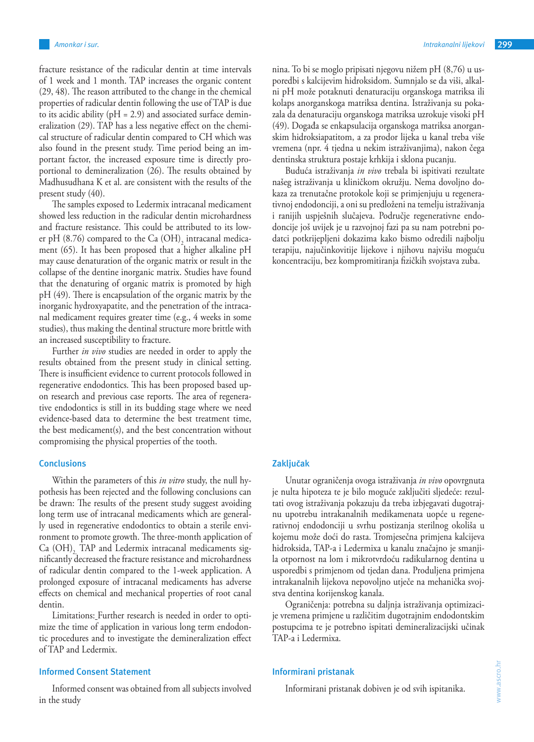fracture resistance of the radicular dentin at time intervals of 1 week and 1 month. TAP increases the organic content (29, 48). The reason attributed to the change in the chemical properties of radicular dentin following the use of TAP is due to its acidic ability ( $pH = 2.9$ ) and associated surface demineralization (29). TAP has a less negative effect on the chemical structure of radicular dentin compared to CH which was also found in the present study. Time period being an important factor, the increased exposure time is directly proportional to demineralization (26). The results obtained by Madhusudhana K et al. are consistent with the results of the present study (40).

The samples exposed to Ledermix intracanal medicament showed less reduction in the radicular dentin microhardness and fracture resistance. This could be attributed to its lower pH (8.76) compared to the Ca  $(OH)_{2}$  intracanal medicament (65). It has been proposed that a higher alkaline pH may cause denaturation of the organic matrix or result in the collapse of the dentine inorganic matrix. Studies have found that the denaturing of organic matrix is promoted by high pH (49). There is encapsulation of the organic matrix by the inorganic hydroxyapatite, and the penetration of the intracanal medicament requires greater time (e.g., 4 weeks in some studies), thus making the dentinal structure more brittle with an increased susceptibility to fracture.

Further *in vivo* studies are needed in order to apply the results obtained from the present study in clinical setting. There is insufficient evidence to current protocols followed in regenerative endodontics. This has been proposed based upon research and previous case reports. The area of regenerative endodontics is still in its budding stage where we need evidence-based data to determine the best treatment time, the best medicament(s), and the best concentration without compromising the physical properties of the tooth.

## **Conclusions**

Within the parameters of this *in vitro* study, the null hypothesis has been rejected and the following conclusions can be drawn: The results of the present study suggest avoiding long term use of intracanal medicaments which are generally used in regenerative endodontics to obtain a sterile environment to promote growth. The three-month application of Ca (OH), TAP and Ledermix intracanal medicaments significantly decreased the fracture resistance and microhardness of radicular dentin compared to the 1-week application. A prolonged exposure of intracanal medicaments has adverse effects on chemical and mechanical properties of root canal dentin.

Limitations: Further research is needed in order to optimize the time of application in various long term endodontic procedures and to investigate the demineralization effect of TAP and Ledermix.

#### **Informed Consent Statement**

Informed consent was obtained from all subjects involved in the study

nina. To bi se moglo pripisati njegovu nižem pH (8,76) u usporedbi s kalcijevim hidroksidom. Sumnjalo se da viši, alkalni pH može potaknuti denaturaciju organskoga matriksa ili kolaps anorganskoga matriksa dentina. Istraživanja su pokazala da denaturaciju organskoga matriksa uzrokuje visoki pH (49). Događa se enkapsulacija organskoga matriksa anorganskim hidroksiapatitom, a za prodor lijeka u kanal treba više vremena (npr. 4 tjedna u nekim istraživanjima), nakon čega dentinska struktura postaje krhkija i sklona pucanju.

Buduća istraživanja *in vivo* trebala bi ispitivati rezultate našeg istraživanja u kliničkom okružju. Nema dovoljno dokaza za trenutačne protokole koji se primjenjuju u regenerativnoj endodonciji, a oni su predloženi na temelju istraživanja i ranijih uspješnih slučajeva. Područje regenerativne endodoncije još uvijek je u razvojnoj fazi pa su nam potrebni podatci potkrijepljeni dokazima kako bismo odredili najbolju terapiju, najučinkovitije lijekove i njihovu najvišu moguću koncentraciju, bez kompromitiranja fizičkih svojstava zuba.

# **Zaključak**

Unutar ograničenja ovoga istraživanja *in vivo* opovrgnuta je nulta hipoteza te je bilo moguće zaključiti sljedeće: rezultati ovog istraživanja pokazuju da treba izbjegavati dugotrajnu upotrebu intrakanalnih medikamenata uopće u regenerativnoj endodonciji u svrhu postizanja sterilnog okoliša u kojemu može doći do rasta. Tromjesečna primjena kalcijeva hidroksida, TAP-a i Ledermixa u kanalu značajno je smanjila otpornost na lom i mikrotvrdoću radikularnog dentina u usporedbi s primjenom od tjedan dana. Produljena primjena intrakanalnih lijekova nepovoljno utječe na mehanička svojstva dentina korijenskog kanala.

Ograničenja: potrebna su daljnja istraživanja optimizacije vremena primjene u različitim dugotrajnim endodontskim postupcima te je potrebno ispitati demineralizacijski učinak TAP-a i Ledermixa.

#### **Informirani pristanak**

Informirani pristanak dobiven je od svih ispitanika.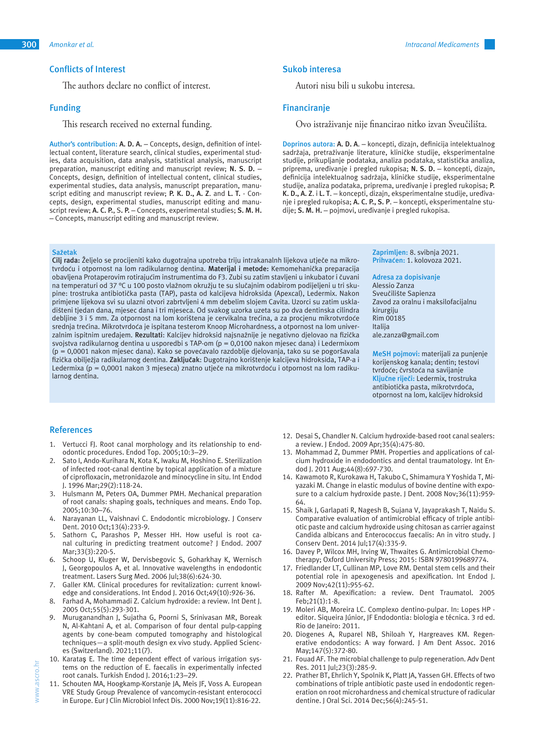## **Conflicts of Interest**

The authors declare no conflict of interest.

## **Funding**

This research received no external funding.

**Author's contribution: A. D. A.** – Concepts, design, definition of intellectual content, literature search, clinical studies, experimental studies, data acquisition, data analysis, statistical analysis, manuscript preparation, manuscript editing and manuscript review; **N. S. D.** – Concepts, design, definition of intellectual content, clinical studies, experimental studies, data analysis, manuscript preparation, manuscript editing and manuscript review; **P. K. D., A. Z**. and **L. T.** - Concepts, design, experimental studies, manuscript editing and manuscript review; **A. C. P.**, S**. P.** – Concepts, experimental studies; **S. M. H.** – Concepts, manuscript editing and manuscript review.

#### **Sažetak**

**Cilj rada:** Željelo se procijeniti kako dugotrajna upotreba triju intrakanalnh lijekova utječe na mikrotvrdoću i otpornost na lom radikularnog dentina. **Materijal i metode:** Kemomehanička preparacija obavljena Protaperovim rotirajućim instrumentima do F3. Zubi su zatim stavljeni u inkubator i čuvani na temperaturi od 37 °C u 100 posto vlažnom okružju te su slučajnim odabirom podijeljeni u tri skupine: trostruka antibiotička pasta (TAP), pasta od kalcijeva hidroksida (Apexcal), Ledermix. Nakon primjene lijekova svi su ulazni otvori zabrtvljeni 4 mm debelim slojem Cavita. Uzorci su zatim uskladišteni tjedan dana, mjesec dana i tri mjeseca. Od svakog uzorka uzeta su po dva dentinska cilindra debljine 3 i 5 mm. Za otpornost na lom korištena je cervikalna trećina, a za procjenu mikrotvrdoće srednja trećina. Mikrotvrdoća je ispitana testerom Knoop Microhardness, a otpornost na lom univerzalnim ispitnim uređajem. **Rezultati**: Kalcijev hidroksid najsnažnije je negativno djelovao na fizička svojstva radikularnog dentina u usporedbi s TAP-om (p = 0,0100 nakon mjesec dana) i Ledermixom (p = 0,0001 nakon mjesec dana). Kako se povećavalo razdoblje djelovanja, tako su se pogoršavala fizička obilježja radikularnog dentina. **Zaključak**: Dugotrajno korištenje kalcijeva hidroksida, TAP-a i Ledermixa (p = 0,0001 nakon 3 mjeseca) znatno utječe na mikrotvrdoću i otpornost na lom radikularnog dentina.

#### **Sukob interesa**

Autori nisu bili u sukobu interesa.

## **Financiranje**

Ovo istraživanje nije financirao nitko izvan Sveučilišta.

**Doprinos autora: A. D. A**. – koncepti, dizajn, definicija intelektualnog sadržaja, pretraživanje literature, kliničke studije, eksperimentalne studije, prikupljanje podataka, analiza podataka, statistička analiza, priprema, uređivanje i pregled rukopisa; **N. S. D.** – koncepti, dizajn, definicija intelektualnog sadržaja, kliničke studije, eksperimentalne studije, analiza podataka, priprema, uređivanje i pregled rukopisa; **P. K. D., A. Z**. i **L. T**. – koncepti, dizajn, eksperimentalne studije, uređivanje i pregled rukopisa; **A. C. P., S. P**. – koncepti, eksperimentalne studije; **S. M. H.** – pojmovi, uređivanje i pregled rukopisa.

> **Zaprimljen:** 8. svibnja 2021. **Prihvaćen:** 1. kolovoza 2021.

**Adresa za dopisivanje** Alessio Zanza Sveučilište Sapienza Zavod za oralnu i maksilofacijalnu kirurgiju Rim 00185 Italija ale.zanza@gmail.com

**MeSH pojmovi:** materijali za punjenje korijenskog kanala; dentin; testovi tvrdoće; čvrstoća na savijanje **Ključne riječi:** Ledermix, trostruka antibiotička pasta, mikrotvrdoća, otpornost na lom, kalcijev hidroksid

#### **References**

- 1. Vertucci FJ. Root canal morphology and its relationship to endodontic procedures. Endod Top. 2005;10:3–29.
- 2. Sato I, Ando-Kurihara N, Kota K, Iwaku M, Hoshino E. Sterilization of infected root-canal dentine by topical application of a mixture of ciprofloxacin, metronidazole and minocycline in situ. Int Endod J. 1996 Mar;29(2):118-24.
- 3. Hulsmann M, Peters OA, Dummer PMH. Mechanical preparation of root canals: shaping goals, techniques and means. Endo Top. 2005;10:30–76.
- 4. Narayanan LL, Vaishnavi C. Endodontic microbiology. J Conserv Dent. 2010 Oct;13(4):233-9.
- 5. Sathorn C, Parashos P, Messer HH. How useful is root canal culturing in predicting treatment outcome? J Endod. 2007 Mar;33(3):220-5.
- 6. Schoop U, Kluger W, Dervisbegovic S, Goharkhay K, Wernisch J, Georgopoulos A, et al. Innovative wavelengths in endodontic treatment. Lasers Surg Med. 2006 Jul;38(6):624-30.
- 7. Galler KM. Clinical procedures for revitalization: current knowledge and considerations. Int Endod J. 2016 Oct;49(10):926-36.
- 8. Farhad A, Mohammadi Z. Calcium hydroxide: a review. Int Dent J. 2005 Oct;55(5):293-301.
- 9. Muruganandhan J, Sujatha G, Poorni S, Srinivasan MR, Boreak N, Al-Kahtani A, et al. Comparison of four dental pulp-capping agents by cone-beam computed tomography and histological techniques—a split-mouth design ex vivo study. Applied Sciences (Switzerland). 2021;11(7).
- 10. Karataş E. The time dependent effect of various irrigation systems on the reduction of E. faecalis in experimentally infected root canals. Turkish Endod J. 2016;1:23–29.
- 11. Schouten MA, Hoogkamp-Korstanje JA, Meis JF, Voss A. European VRE Study Group Prevalence of vancomycin-resistant enterococci in Europe. Eur J Clin Microbiol Infect Dis. 2000 Nov;19(11):816-22.
- 12. Desai S, Chandler N. Calcium hydroxide-based root canal sealers: a review. J Endod. 2009 Apr;35(4):475-80.
- 13. Mohammad Z, Dummer PMH. Properties and applications of calcium hydroxide in endodontics and dental traumatology. Int Endod J. 2011 Aug;44(8):697-730.
- 14. Kawamoto R, Kurokawa H, Takubo C, Shimamura Y Yoshida T, Miyazaki M. Change in elastic modulus of bovine dentine with exposure to a calcium hydroxide paste. J Dent. 2008 Nov;36(11):959- 64.
- 15. Shaik J, Garlapati R, Nagesh B, Sujana V, Jayaprakash T, Naidu S. Comparative evaluation of antimicrobial efficacy of triple antibiotic paste and calcium hydroxide using chitosan as carrier against Candida albicans and Enterococcus faecalis: An in vitro study. J Conserv Dent. 2014 Jul;17(4):335-9.
- 16. Davey P, Wilcox MH, Irving W, Thwaites G. Antimicrobial Chemotherapy; Oxford University Press; 2015: ISBN 9780199689774.
- 17. Friedlander LT, Cullinan MP, Love RM. Dental stem cells and their potential role in apexogenesis and apexification. Int Endod J. 2009 Nov;42(11):955-62.
- 18. Rafter M. Apexification: a review. Dent Traumatol. 2005 Feb;21(1):1-8.
- 19. Moleri AB, Moreira LC. Complexo dentino-pulpar. In: Lopes HP editor. Siqueira Júnior, JF Endodontia: biologia e técnica. 3 rd ed. Rio de Janeiro: 2011.
- 20. Diogenes A, Ruparel NB, Shiloah Y, Hargreaves KM. Regenerative endodontics: A way forward. J Am Dent Assoc. 2016 May;147(5):372-80.
- 21. Fouad AF. The microbial challenge to pulp regeneration. Adv Dent Res. 2011 Jul;23(3):285-9.
- 22. Prather BT, Ehrlich Y, Spolnik K, Platt JA, Yassen GH. Effects of two combinations of triple antibiotic paste used in endodontic regeneration on root microhardness and chemical structure of radicular dentine. J Oral Sci. 2014 Dec;56(4):245-51.